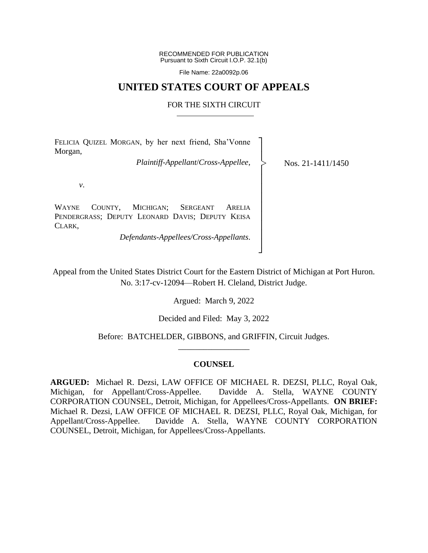RECOMMENDED FOR PUBLICATION Pursuant to Sixth Circuit I.O.P. 32.1(b)

File Name: 22a0092p.06

## **UNITED STATES COURT OF APPEALS**

## FOR THE SIXTH CIRCUIT

| FELICIA QUIZEL MORGAN, by her next friend, Sha'Vonne<br>Morgan,                                                                |                     |
|--------------------------------------------------------------------------------------------------------------------------------|---------------------|
| $\label{lem:rel} Plaintiff-Appendant/Cross-Appellee,$                                                                          | Nos. $21-1411/1450$ |
| ν.                                                                                                                             |                     |
| MICHIGAN;<br>WAYNE<br>COUNTY,<br><b>SERGEANT</b><br><b>ARELIA</b><br>PENDERGRASS; DEPUTY LEONARD DAVIS; DEPUTY KEISA<br>Clark. |                     |
| Defendants-Appellees/Cross-Appellants.                                                                                         |                     |

Appeal from the United States District Court for the Eastern District of Michigan at Port Huron. No. 3:17-cv-12094—Robert H. Cleland, District Judge.

│ ┘

Argued: March 9, 2022

Decided and Filed: May 3, 2022

Before: BATCHELDER, GIBBONS, and GRIFFIN, Circuit Judges. \_\_\_\_\_\_\_\_\_\_\_\_\_\_\_\_\_

## **COUNSEL**

**ARGUED:** Michael R. Dezsi, LAW OFFICE OF MICHAEL R. DEZSI, PLLC, Royal Oak, Michigan, for Appellant/Cross-Appellee. Davidde A. Stella, WAYNE COUNTY CORPORATION COUNSEL, Detroit, Michigan, for Appellees/Cross-Appellants. **ON BRIEF:** Michael R. Dezsi, LAW OFFICE OF MICHAEL R. DEZSI, PLLC, Royal Oak, Michigan, for Appellant/Cross-Appellee. Davidde A. Stella, WAYNE COUNTY CORPORATION COUNSEL, Detroit, Michigan, for Appellees/Cross-Appellants.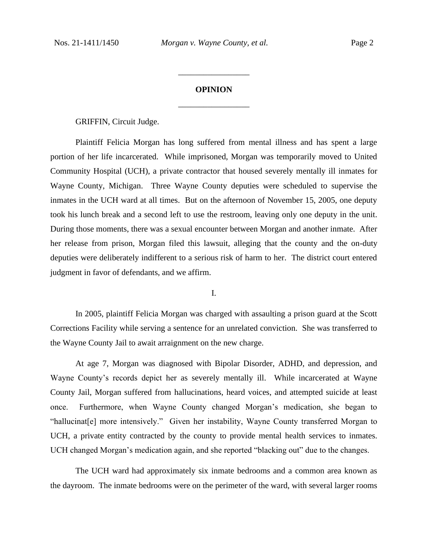# **OPINION** \_\_\_\_\_\_\_\_\_\_\_\_\_\_\_\_\_

\_\_\_\_\_\_\_\_\_\_\_\_\_\_\_\_\_

GRIFFIN, Circuit Judge.

Plaintiff Felicia Morgan has long suffered from mental illness and has spent a large portion of her life incarcerated. While imprisoned, Morgan was temporarily moved to United Community Hospital (UCH), a private contractor that housed severely mentally ill inmates for Wayne County, Michigan. Three Wayne County deputies were scheduled to supervise the inmates in the UCH ward at all times. But on the afternoon of November 15, 2005, one deputy took his lunch break and a second left to use the restroom, leaving only one deputy in the unit. During those moments, there was a sexual encounter between Morgan and another inmate. After her release from prison, Morgan filed this lawsuit, alleging that the county and the on-duty deputies were deliberately indifferent to a serious risk of harm to her. The district court entered judgment in favor of defendants, and we affirm.

I.

In 2005, plaintiff Felicia Morgan was charged with assaulting a prison guard at the Scott Corrections Facility while serving a sentence for an unrelated conviction. She was transferred to the Wayne County Jail to await arraignment on the new charge.

At age 7, Morgan was diagnosed with Bipolar Disorder, ADHD, and depression, and Wayne County's records depict her as severely mentally ill. While incarcerated at Wayne County Jail, Morgan suffered from hallucinations, heard voices, and attempted suicide at least once. Furthermore, when Wayne County changed Morgan's medication, she began to "hallucinat[e] more intensively." Given her instability, Wayne County transferred Morgan to UCH, a private entity contracted by the county to provide mental health services to inmates. UCH changed Morgan's medication again, and she reported "blacking out" due to the changes.

The UCH ward had approximately six inmate bedrooms and a common area known as the dayroom. The inmate bedrooms were on the perimeter of the ward, with several larger rooms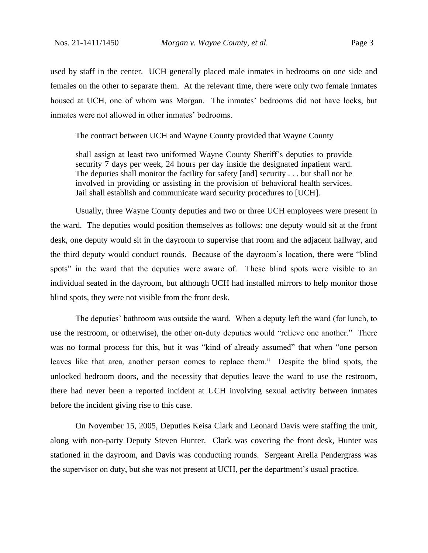used by staff in the center. UCH generally placed male inmates in bedrooms on one side and females on the other to separate them. At the relevant time, there were only two female inmates housed at UCH, one of whom was Morgan. The inmates' bedrooms did not have locks, but inmates were not allowed in other inmates' bedrooms.

The contract between UCH and Wayne County provided that Wayne County

shall assign at least two uniformed Wayne County Sheriff's deputies to provide security 7 days per week, 24 hours per day inside the designated inpatient ward. The deputies shall monitor the facility for safety [and] security . . . but shall not be involved in providing or assisting in the provision of behavioral health services. Jail shall establish and communicate ward security procedures to [UCH].

Usually, three Wayne County deputies and two or three UCH employees were present in the ward. The deputies would position themselves as follows: one deputy would sit at the front desk, one deputy would sit in the dayroom to supervise that room and the adjacent hallway, and the third deputy would conduct rounds. Because of the dayroom's location, there were "blind spots" in the ward that the deputies were aware of. These blind spots were visible to an individual seated in the dayroom, but although UCH had installed mirrors to help monitor those blind spots, they were not visible from the front desk.

The deputies' bathroom was outside the ward. When a deputy left the ward (for lunch, to use the restroom, or otherwise), the other on-duty deputies would "relieve one another." There was no formal process for this, but it was "kind of already assumed" that when "one person leaves like that area, another person comes to replace them." Despite the blind spots, the unlocked bedroom doors, and the necessity that deputies leave the ward to use the restroom, there had never been a reported incident at UCH involving sexual activity between inmates before the incident giving rise to this case.

On November 15, 2005, Deputies Keisa Clark and Leonard Davis were staffing the unit, along with non-party Deputy Steven Hunter. Clark was covering the front desk, Hunter was stationed in the dayroom, and Davis was conducting rounds. Sergeant Arelia Pendergrass was the supervisor on duty, but she was not present at UCH, per the department's usual practice.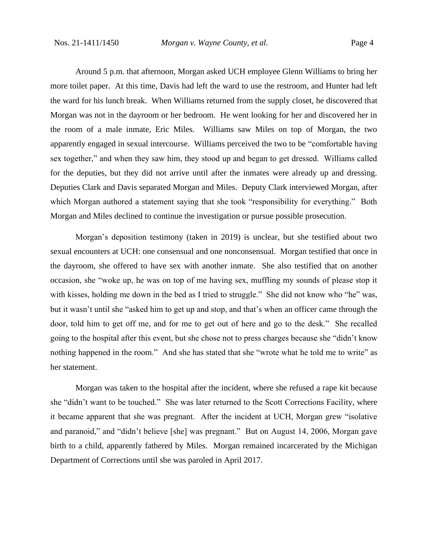Around 5 p.m. that afternoon, Morgan asked UCH employee Glenn Williams to bring her more toilet paper. At this time, Davis had left the ward to use the restroom, and Hunter had left the ward for his lunch break. When Williams returned from the supply closet, he discovered that Morgan was not in the dayroom or her bedroom. He went looking for her and discovered her in the room of a male inmate, Eric Miles. Williams saw Miles on top of Morgan, the two apparently engaged in sexual intercourse. Williams perceived the two to be "comfortable having sex together," and when they saw him, they stood up and began to get dressed. Williams called for the deputies, but they did not arrive until after the inmates were already up and dressing. Deputies Clark and Davis separated Morgan and Miles. Deputy Clark interviewed Morgan, after which Morgan authored a statement saying that she took "responsibility for everything." Both Morgan and Miles declined to continue the investigation or pursue possible prosecution.

Morgan's deposition testimony (taken in 2019) is unclear, but she testified about two sexual encounters at UCH: one consensual and one nonconsensual. Morgan testified that once in the dayroom, she offered to have sex with another inmate. She also testified that on another occasion, she "woke up, he was on top of me having sex, muffling my sounds of please stop it with kisses, holding me down in the bed as I tried to struggle." She did not know who "he" was, but it wasn't until she "asked him to get up and stop, and that's when an officer came through the door, told him to get off me, and for me to get out of here and go to the desk." She recalled going to the hospital after this event, but she chose not to press charges because she "didn't know nothing happened in the room." And she has stated that she "wrote what he told me to write" as her statement.

Morgan was taken to the hospital after the incident, where she refused a rape kit because she "didn't want to be touched." She was later returned to the Scott Corrections Facility, where it became apparent that she was pregnant. After the incident at UCH, Morgan grew "isolative and paranoid," and "didn't believe [she] was pregnant." But on August 14, 2006, Morgan gave birth to a child, apparently fathered by Miles. Morgan remained incarcerated by the Michigan Department of Corrections until she was paroled in April 2017.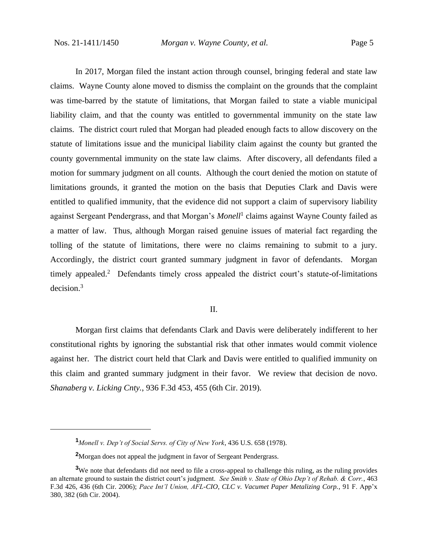In 2017, Morgan filed the instant action through counsel, bringing federal and state law claims. Wayne County alone moved to dismiss the complaint on the grounds that the complaint was time-barred by the statute of limitations, that Morgan failed to state a viable municipal liability claim, and that the county was entitled to governmental immunity on the state law claims. The district court ruled that Morgan had pleaded enough facts to allow discovery on the statute of limitations issue and the municipal liability claim against the county but granted the county governmental immunity on the state law claims. After discovery, all defendants filed a motion for summary judgment on all counts. Although the court denied the motion on statute of limitations grounds, it granted the motion on the basis that Deputies Clark and Davis were entitled to qualified immunity, that the evidence did not support a claim of supervisory liability against Sergeant Pendergrass, and that Morgan's *Monell*<sup>1</sup> claims against Wayne County failed as a matter of law. Thus, although Morgan raised genuine issues of material fact regarding the tolling of the statute of limitations, there were no claims remaining to submit to a jury. Accordingly, the district court granted summary judgment in favor of defendants. Morgan timely appealed.<sup>2</sup> Defendants timely cross appealed the district court's statute-of-limitations decision.<sup>3</sup>

II.

Morgan first claims that defendants Clark and Davis were deliberately indifferent to her constitutional rights by ignoring the substantial risk that other inmates would commit violence against her. The district court held that Clark and Davis were entitled to qualified immunity on this claim and granted summary judgment in their favor. We review that decision de novo. *Shanaberg v. Licking Cnty.*, 936 F.3d 453, 455 (6th Cir. 2019).

**<sup>1</sup>***Monell v. Dep't of Social Servs. of City of New York*, 436 U.S. 658 (1978).

**<sup>2</sup>**Morgan does not appeal the judgment in favor of Sergeant Pendergrass.

**<sup>3</sup>**We note that defendants did not need to file a cross-appeal to challenge this ruling, as the ruling provides an alternate ground to sustain the district court's judgment. *See Smith v. State of Ohio Dep't of Rehab. & Corr.*, 463 F.3d 426, 436 (6th Cir. 2006); *Pace Int'l Union, AFL-CIO, CLC v. Vacumet Paper Metalizing Corp.*, 91 F. App'x 380, 382 (6th Cir. 2004).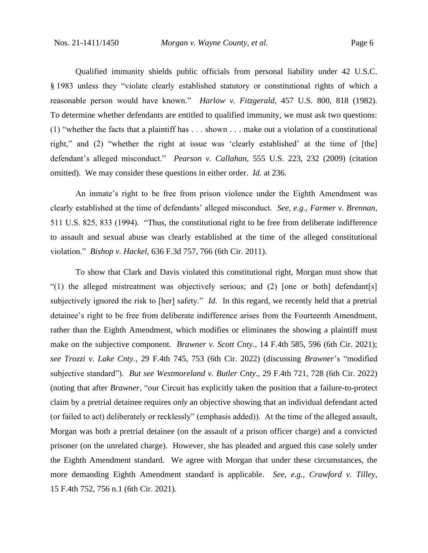Qualified immunity shields public officials from personal liability under 42 U.S.C. § 1983 unless they "violate clearly established statutory or constitutional rights of which a reasonable person would have known." *Harlow v. Fitzgerald*, 457 U.S. 800, 818 (1982). To determine whether defendants are entitled to qualified immunity, we must ask two questions: (1) "whether the facts that a plaintiff has . . . shown . . . make out a violation of a constitutional right," and (2) "whether the right at issue was 'clearly established' at the time of [the] defendant's alleged misconduct." *Pearson v. Callahan*, 555 U.S. 223, 232 (2009) (citation omitted). We may consider these questions in either order. *Id.* at 236.

An inmate's right to be free from prison violence under the Eighth Amendment was clearly established at the time of defendants' alleged misconduct. *See, e.g.*, *Farmer v. Brennan*, 511 U.S. 825, 833 (1994). "Thus, the constitutional right to be free from deliberate indifference to assault and sexual abuse was clearly established at the time of the alleged constitutional violation." *Bishop v. Hackel*, 636 F.3d 757, 766 (6th Cir. 2011)*.*

To show that Clark and Davis violated this constitutional right, Morgan must show that "(1) the alleged mistreatment was objectively serious; and (2) [one or both] defendant[s] subjectively ignored the risk to [her] safety." *Id.* In this regard, we recently held that a pretrial detainee's right to be free from deliberate indifference arises from the Fourteenth Amendment, rather than the Eighth Amendment, which modifies or eliminates the showing a plaintiff must make on the subjective component. *Brawner v. Scott Cnty.*, 14 F.4th 585, 596 (6th Cir. 2021); *see Trozzi v. Lake Cnty.*, 29 F.4th 745, 753 (6th Cir. 2022) (discussing *Brawner*'s "modified subjective standard"). *But see Westmoreland v. Butler Cnty*., 29 F.4th 721, 728 (6th Cir. 2022) (noting that after *Brawner*, "our Circuit has explicitly taken the position that a failure-to-protect claim by a pretrial detainee requires *only* an objective showing that an individual defendant acted (or failed to act) deliberately or recklessly" (emphasis added)). At the time of the alleged assault, Morgan was both a pretrial detainee (on the assault of a prison officer charge) and a convicted prisoner (on the unrelated charge). However, she has pleaded and argued this case solely under the Eighth Amendment standard. We agree with Morgan that under these circumstances, the more demanding Eighth Amendment standard is applicable. *See, e.g., Crawford v. Tilley*, 15 F.4th 752, 756 n.1 (6th Cir. 2021).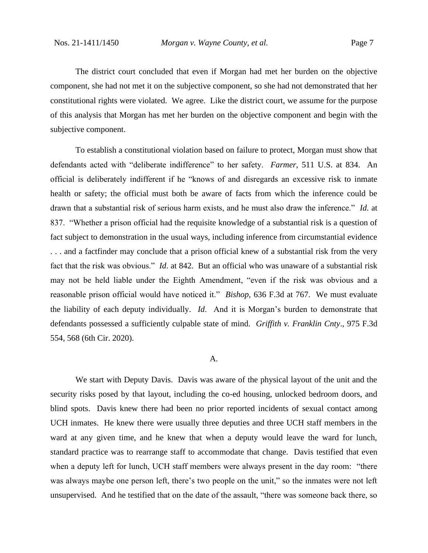The district court concluded that even if Morgan had met her burden on the objective component, she had not met it on the subjective component, so she had not demonstrated that her constitutional rights were violated. We agree. Like the district court, we assume for the purpose of this analysis that Morgan has met her burden on the objective component and begin with the subjective component.

To establish a constitutional violation based on failure to protect, Morgan must show that defendants acted with "deliberate indifference" to her safety. *Farmer*, 511 U.S. at 834. An official is deliberately indifferent if he "knows of and disregards an excessive risk to inmate health or safety; the official must both be aware of facts from which the inference could be drawn that a substantial risk of serious harm exists, and he must also draw the inference." *Id.* at 837. "Whether a prison official had the requisite knowledge of a substantial risk is a question of fact subject to demonstration in the usual ways, including inference from circumstantial evidence . . . and a factfinder may conclude that a prison official knew of a substantial risk from the very fact that the risk was obvious." *Id*. at 842. But an official who was unaware of a substantial risk may not be held liable under the Eighth Amendment, "even if the risk was obvious and a reasonable prison official would have noticed it." *Bishop*, 636 F.3d at 767. We must evaluate the liability of each deputy individually. *Id*. And it is Morgan's burden to demonstrate that defendants possessed a sufficiently culpable state of mind. *Griffith v. Franklin Cnty*., 975 F.3d 554, 568 (6th Cir. 2020).

### A.

We start with Deputy Davis. Davis was aware of the physical layout of the unit and the security risks posed by that layout, including the co-ed housing, unlocked bedroom doors, and blind spots. Davis knew there had been no prior reported incidents of sexual contact among UCH inmates. He knew there were usually three deputies and three UCH staff members in the ward at any given time, and he knew that when a deputy would leave the ward for lunch, standard practice was to rearrange staff to accommodate that change. Davis testified that even when a deputy left for lunch, UCH staff members were always present in the day room: "there was always maybe one person left, there's two people on the unit," so the inmates were not left unsupervised. And he testified that on the date of the assault, "there was someone back there, so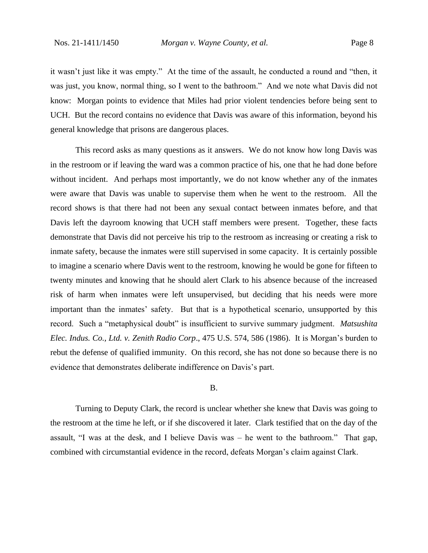it wasn't just like it was empty." At the time of the assault, he conducted a round and "then, it was just, you know, normal thing, so I went to the bathroom." And we note what Davis did not know: Morgan points to evidence that Miles had prior violent tendencies before being sent to UCH. But the record contains no evidence that Davis was aware of this information, beyond his general knowledge that prisons are dangerous places.

This record asks as many questions as it answers. We do not know how long Davis was in the restroom or if leaving the ward was a common practice of his, one that he had done before without incident. And perhaps most importantly, we do not know whether any of the inmates were aware that Davis was unable to supervise them when he went to the restroom. All the record shows is that there had not been any sexual contact between inmates before, and that Davis left the dayroom knowing that UCH staff members were present. Together, these facts demonstrate that Davis did not perceive his trip to the restroom as increasing or creating a risk to inmate safety, because the inmates were still supervised in some capacity. It is certainly possible to imagine a scenario where Davis went to the restroom, knowing he would be gone for fifteen to twenty minutes and knowing that he should alert Clark to his absence because of the increased risk of harm when inmates were left unsupervised, but deciding that his needs were more important than the inmates' safety. But that is a hypothetical scenario, unsupported by this record. Such a "metaphysical doubt" is insufficient to survive summary judgment. *Matsushita Elec. Indus. Co., Ltd. v. Zenith Radio Corp*., 475 U.S. 574, 586 (1986). It is Morgan's burden to rebut the defense of qualified immunity. On this record, she has not done so because there is no evidence that demonstrates deliberate indifference on Davis's part.

#### B.

Turning to Deputy Clark, the record is unclear whether she knew that Davis was going to the restroom at the time he left, or if she discovered it later. Clark testified that on the day of the assault, "I was at the desk, and I believe Davis was – he went to the bathroom." That gap, combined with circumstantial evidence in the record, defeats Morgan's claim against Clark.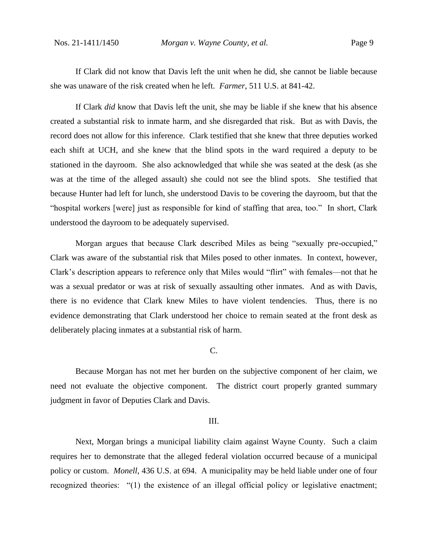If Clark did not know that Davis left the unit when he did, she cannot be liable because she was unaware of the risk created when he left. *Farmer*, 511 U.S. at 841-42.

If Clark *did* know that Davis left the unit, she may be liable if she knew that his absence created a substantial risk to inmate harm, and she disregarded that risk. But as with Davis, the record does not allow for this inference. Clark testified that she knew that three deputies worked each shift at UCH, and she knew that the blind spots in the ward required a deputy to be stationed in the dayroom. She also acknowledged that while she was seated at the desk (as she was at the time of the alleged assault) she could not see the blind spots. She testified that because Hunter had left for lunch, she understood Davis to be covering the dayroom, but that the "hospital workers [were] just as responsible for kind of staffing that area, too." In short, Clark understood the dayroom to be adequately supervised.

Morgan argues that because Clark described Miles as being "sexually pre-occupied," Clark was aware of the substantial risk that Miles posed to other inmates. In context, however, Clark's description appears to reference only that Miles would "flirt" with females—not that he was a sexual predator or was at risk of sexually assaulting other inmates. And as with Davis, there is no evidence that Clark knew Miles to have violent tendencies. Thus, there is no evidence demonstrating that Clark understood her choice to remain seated at the front desk as deliberately placing inmates at a substantial risk of harm.

## C.

Because Morgan has not met her burden on the subjective component of her claim, we need not evaluate the objective component. The district court properly granted summary judgment in favor of Deputies Clark and Davis.

#### III.

Next, Morgan brings a municipal liability claim against Wayne County. Such a claim requires her to demonstrate that the alleged federal violation occurred because of a municipal policy or custom. *Monell*, 436 U.S. at 694. A municipality may be held liable under one of four recognized theories: "(1) the existence of an illegal official policy or legislative enactment;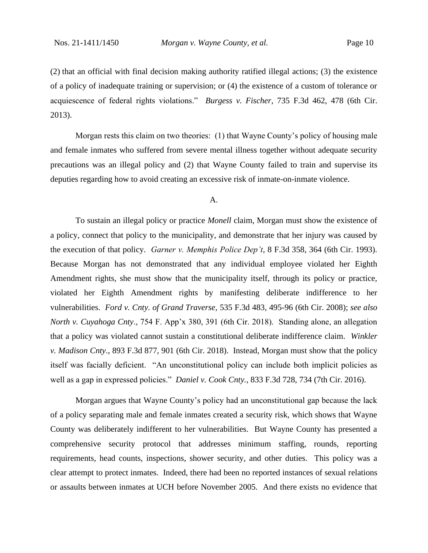(2) that an official with final decision making authority ratified illegal actions; (3) the existence of a policy of inadequate training or supervision; or (4) the existence of a custom of tolerance or acquiescence of federal rights violations." *Burgess v. Fischer*, 735 F.3d 462, 478 (6th Cir. 2013).

Morgan rests this claim on two theories: (1) that Wayne County's policy of housing male and female inmates who suffered from severe mental illness together without adequate security precautions was an illegal policy and (2) that Wayne County failed to train and supervise its deputies regarding how to avoid creating an excessive risk of inmate-on-inmate violence.

#### A.

To sustain an illegal policy or practice *Monell* claim, Morgan must show the existence of a policy, connect that policy to the municipality, and demonstrate that her injury was caused by the execution of that policy. *Garner v. Memphis Police Dep't*, 8 F.3d 358, 364 (6th Cir. 1993). Because Morgan has not demonstrated that any individual employee violated her Eighth Amendment rights, she must show that the municipality itself, through its policy or practice, violated her Eighth Amendment rights by manifesting deliberate indifference to her vulnerabilities. *Ford v. Cnty. of Grand Traverse*, 535 F.3d 483, 495-96 (6th Cir. 2008); *see also North v. Cuyahoga Cnty*., 754 F. App'x 380, 391 (6th Cir. 2018). Standing alone, an allegation that a policy was violated cannot sustain a constitutional deliberate indifference claim. *Winkler v. Madison Cnty*., 893 F.3d 877, 901 (6th Cir. 2018). Instead, Morgan must show that the policy itself was facially deficient. "An unconstitutional policy can include both implicit policies as well as a gap in expressed policies." *Daniel v. Cook Cnty.*, 833 F.3d 728, 734 (7th Cir. 2016).

Morgan argues that Wayne County's policy had an unconstitutional gap because the lack of a policy separating male and female inmates created a security risk, which shows that Wayne County was deliberately indifferent to her vulnerabilities. But Wayne County has presented a comprehensive security protocol that addresses minimum staffing, rounds, reporting requirements, head counts, inspections, shower security, and other duties. This policy was a clear attempt to protect inmates. Indeed, there had been no reported instances of sexual relations or assaults between inmates at UCH before November 2005. And there exists no evidence that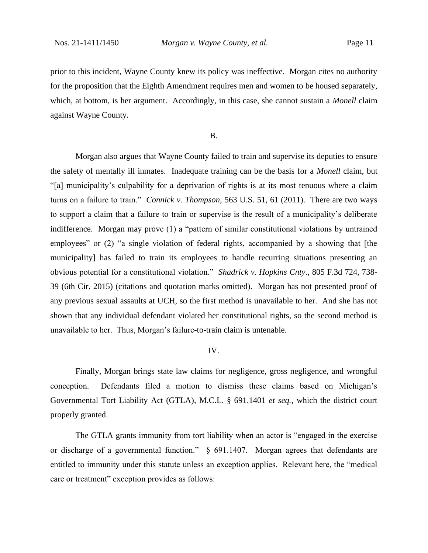prior to this incident, Wayne County knew its policy was ineffective. Morgan cites no authority for the proposition that the Eighth Amendment requires men and women to be housed separately, which, at bottom, is her argument. Accordingly, in this case, she cannot sustain a *Monell* claim against Wayne County.

#### B.

Morgan also argues that Wayne County failed to train and supervise its deputies to ensure the safety of mentally ill inmates. Inadequate training can be the basis for a *Monell* claim, but "[a] municipality's culpability for a deprivation of rights is at its most tenuous where a claim turns on a failure to train." *Connick v. Thompson*, 563 U.S. 51, 61 (2011). There are two ways to support a claim that a failure to train or supervise is the result of a municipality's deliberate indifference. Morgan may prove (1) a "pattern of similar constitutional violations by untrained employees" or (2) "a single violation of federal rights, accompanied by a showing that [the municipality] has failed to train its employees to handle recurring situations presenting an obvious potential for a constitutional violation." *Shadrick v. Hopkins Cnty*., 805 F.3d 724, 738- 39 (6th Cir. 2015) (citations and quotation marks omitted). Morgan has not presented proof of any previous sexual assaults at UCH, so the first method is unavailable to her. And she has not shown that any individual defendant violated her constitutional rights, so the second method is unavailable to her. Thus, Morgan's failure-to-train claim is untenable.

#### IV.

Finally, Morgan brings state law claims for negligence, gross negligence, and wrongful conception. Defendants filed a motion to dismiss these claims based on Michigan's Governmental Tort Liability Act (GTLA), M.C.L. § 691.1401 *et seq.*, which the district court properly granted.

The GTLA grants immunity from tort liability when an actor is "engaged in the exercise or discharge of a governmental function." § 691.1407. Morgan agrees that defendants are entitled to immunity under this statute unless an exception applies. Relevant here, the "medical care or treatment" exception provides as follows: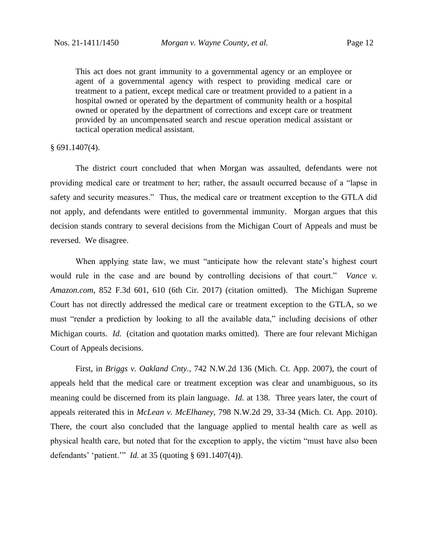This act does not grant immunity to a governmental agency or an employee or agent of a governmental agency with respect to providing medical care or treatment to a patient, except medical care or treatment provided to a patient in a hospital owned or operated by the department of community health or a hospital owned or operated by the department of corrections and except care or treatment provided by an uncompensated search and rescue operation medical assistant or tactical operation medical assistant.

§ 691.1407(4).

The district court concluded that when Morgan was assaulted, defendants were not providing medical care or treatment to her; rather, the assault occurred because of a "lapse in safety and security measures." Thus, the medical care or treatment exception to the GTLA did not apply, and defendants were entitled to governmental immunity. Morgan argues that this decision stands contrary to several decisions from the Michigan Court of Appeals and must be reversed. We disagree.

When applying state law, we must "anticipate how the relevant state's highest court would rule in the case and are bound by controlling decisions of that court." *Vance v. Amazon.com*, 852 F.3d 601, 610 (6th Cir. 2017) (citation omitted). The Michigan Supreme Court has not directly addressed the medical care or treatment exception to the GTLA, so we must "render a prediction by looking to all the available data," including decisions of other Michigan courts. *Id.* (citation and quotation marks omitted). There are four relevant Michigan Court of Appeals decisions.

First, in *Briggs v. Oakland Cnty.*, 742 N.W.2d 136 (Mich. Ct. App. 2007), the court of appeals held that the medical care or treatment exception was clear and unambiguous, so its meaning could be discerned from its plain language. *Id.* at 138. Three years later, the court of appeals reiterated this in *McLean v. McElhaney*, 798 N.W.2d 29, 33-34 (Mich. Ct. App. 2010). There, the court also concluded that the language applied to mental health care as well as physical health care, but noted that for the exception to apply, the victim "must have also been defendants' 'patient.'" *Id.* at 35 (quoting § 691.1407(4)).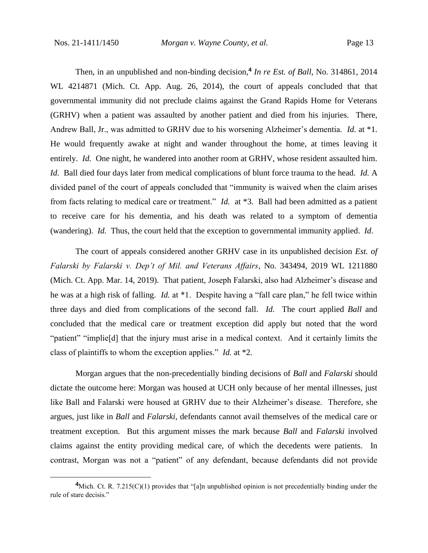Then, in an unpublished and non-binding decision,**<sup>4</sup>** *In re Est. of Ball*, No. 314861, 2014 WL 4214871 (Mich. Ct. App. Aug. 26, 2014), the court of appeals concluded that that governmental immunity did not preclude claims against the Grand Rapids Home for Veterans (GRHV) when a patient was assaulted by another patient and died from his injuries. There, Andrew Ball, Jr., was admitted to GRHV due to his worsening Alzheimer's dementia. *Id.* at \*1. He would frequently awake at night and wander throughout the home, at times leaving it entirely. *Id.* One night, he wandered into another room at GRHV, whose resident assaulted him. *Id.* Ball died four days later from medical complications of blunt force trauma to the head. *Id.* A divided panel of the court of appeals concluded that "immunity is waived when the claim arises from facts relating to medical care or treatment." *Id.* at \*3. Ball had been admitted as a patient to receive care for his dementia, and his death was related to a symptom of dementia (wandering). *Id.* Thus, the court held that the exception to governmental immunity applied. *Id*.

The court of appeals considered another GRHV case in its unpublished decision *Est. of Falarski by Falarski v. Dep't of Mil. and Veterans Affairs*, No. 343494, 2019 WL 1211880 (Mich. Ct. App. Mar. 14, 2019). That patient, Joseph Falarski, also had Alzheimer's disease and he was at a high risk of falling. *Id.* at \*1. Despite having a "fall care plan," he fell twice within three days and died from complications of the second fall. *Id.* The court applied *Ball* and concluded that the medical care or treatment exception did apply but noted that the word "patient" "implie[d] that the injury must arise in a medical context. And it certainly limits the class of plaintiffs to whom the exception applies." *Id.* at \*2.

Morgan argues that the non-precedentially binding decisions of *Ball* and *Falarski* should dictate the outcome here: Morgan was housed at UCH only because of her mental illnesses, just like Ball and Falarski were housed at GRHV due to their Alzheimer's disease. Therefore, she argues, just like in *Ball* and *Falarski*, defendants cannot avail themselves of the medical care or treatment exception. But this argument misses the mark because *Ball* and *Falarski* involved claims against the entity providing medical care, of which the decedents were patients. In contrast, Morgan was not a "patient" of any defendant, because defendants did not provide

**<sup>4</sup>**Mich. Ct. R. 7.215(C)(1) provides that "[a]n unpublished opinion is not precedentially binding under the rule of stare decisis."